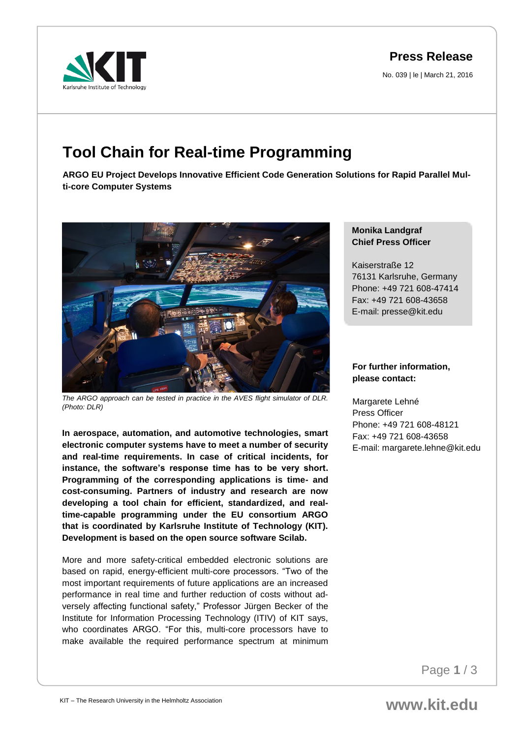**Press Release**

No. 039 | le | March 21, 2016



## **Tool Chain for Real-time Programming**

**ARGO EU Project Develops Innovative Efficient Code Generation Solutions for Rapid Parallel Multi-core Computer Systems**



*The ARGO approach can be tested in practice in the AVES flight simulator of DLR. (Photo: DLR)*

**In aerospace, automation, and automotive technologies, smart electronic computer systems have to meet a number of security and real-time requirements. In case of critical incidents, for instance, the software's response time has to be very short. Programming of the corresponding applications is time- and cost-consuming. Partners of industry and research are now developing a tool chain for efficient, standardized, and realtime-capable programming under the EU consortium ARGO that is coordinated by Karlsruhe Institute of Technology (KIT). Development is based on the open source software Scilab.** 

More and more safety-critical embedded electronic solutions are based on rapid, energy-efficient multi-core processors. "Two of the most important requirements of future applications are an increased performance in real time and further reduction of costs without adversely affecting functional safety," Professor Jürgen Becker of the Institute for Information Processing Technology (ITIV) of KIT says, who coordinates ARGO. "For this, multi-core processors have to make available the required performance spectrum at minimum

## **Monika Landgraf Chief Press Officer**

Kaiserstraße 12 76131 Karlsruhe, Germany Phone: +49 721 608-47414 Fax: +49 721 608-43658 E-mail: presse@kit.edu

## **For further information, please contact:**

Margarete Lehné Press Officer Phone: +49 721 608-48121 Fax: +49 721 608-43658 E-mail: margarete.lehne@kit.edu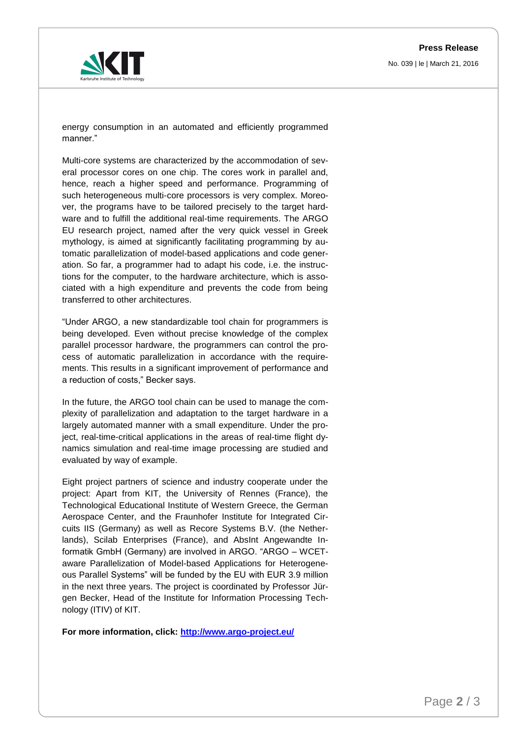

energy consumption in an automated and efficiently programmed manner."

Multi-core systems are characterized by the accommodation of several processor cores on one chip. The cores work in parallel and, hence, reach a higher speed and performance. Programming of such heterogeneous multi-core processors is very complex. Moreover, the programs have to be tailored precisely to the target hardware and to fulfill the additional real-time requirements. The ARGO EU research project, named after the very quick vessel in Greek mythology, is aimed at significantly facilitating programming by automatic parallelization of model-based applications and code generation. So far, a programmer had to adapt his code, i.e. the instructions for the computer, to the hardware architecture, which is associated with a high expenditure and prevents the code from being transferred to other architectures.

"Under ARGO, a new standardizable tool chain for programmers is being developed. Even without precise knowledge of the complex parallel processor hardware, the programmers can control the process of automatic parallelization in accordance with the requirements. This results in a significant improvement of performance and a reduction of costs," Becker says.

In the future, the ARGO tool chain can be used to manage the complexity of parallelization and adaptation to the target hardware in a largely automated manner with a small expenditure. Under the project, real-time-critical applications in the areas of real-time flight dynamics simulation and real-time image processing are studied and evaluated by way of example.

Eight project partners of science and industry cooperate under the project: Apart from KIT, the University of Rennes (France), the Technological Educational Institute of Western Greece, the German Aerospace Center, and the Fraunhofer Institute for Integrated Circuits IIS (Germany) as well as Recore Systems B.V. (the Netherlands), Scilab Enterprises (France), and AbsInt Angewandte Informatik GmbH (Germany) are involved in ARGO. "ARGO – WCETaware Parallelization of Model-based Applications for Heterogeneous Parallel Systems" will be funded by the EU with EUR 3.9 million in the next three years. The project is coordinated by Professor Jürgen Becker, Head of the Institute for Information Processing Technology (ITIV) of KIT.

**For more information, click: <http://www.argo-project.eu/>**